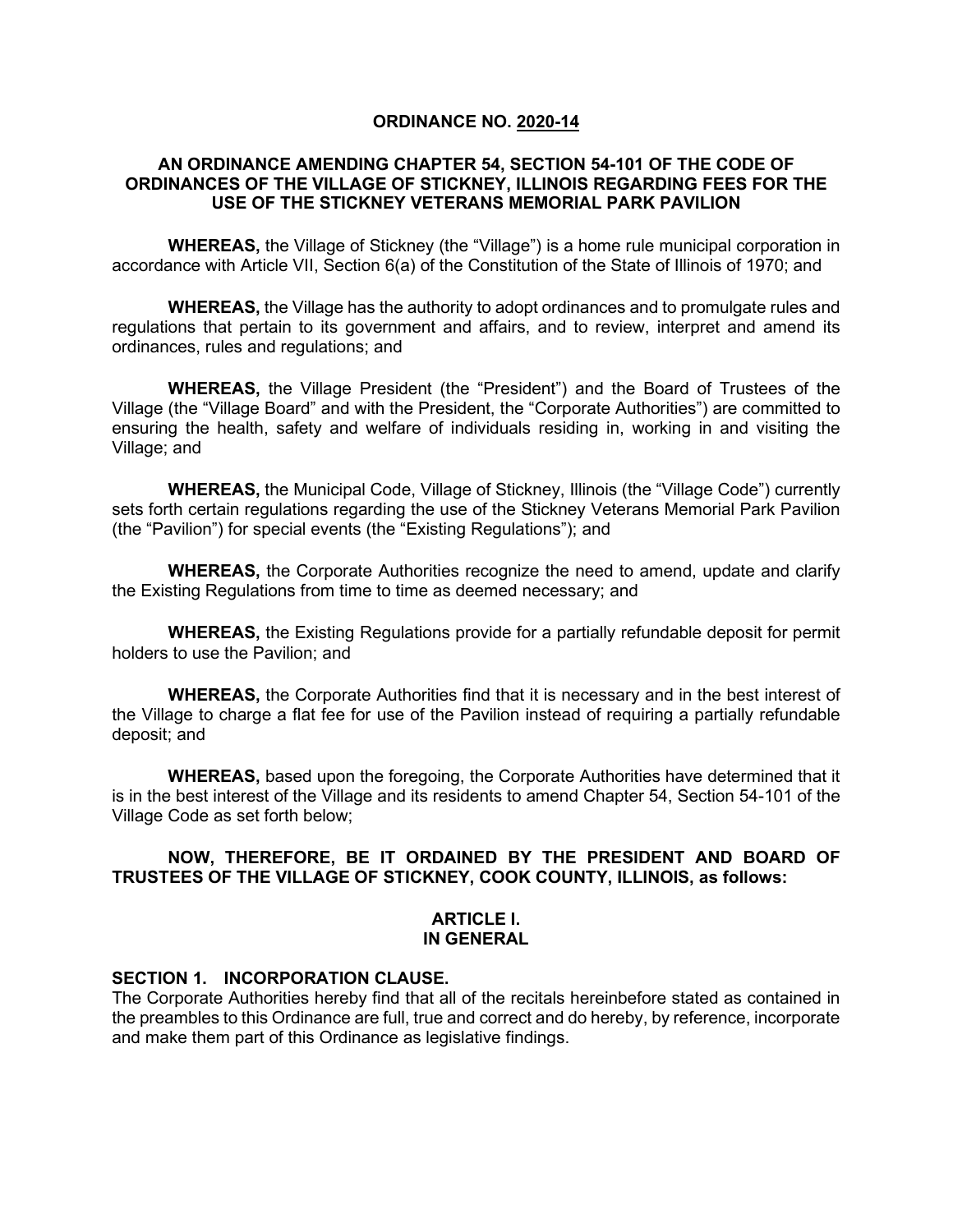#### **ORDINANCE NO. 2020-14**

#### **AN ORDINANCE AMENDING CHAPTER 54, SECTION 54-101 OF THE CODE OF ORDINANCES OF THE VILLAGE OF STICKNEY, ILLINOIS REGARDING FEES FOR THE USE OF THE STICKNEY VETERANS MEMORIAL PARK PAVILION**

**WHEREAS,** the Village of Stickney (the "Village") is a home rule municipal corporation in accordance with Article VII, Section 6(a) of the Constitution of the State of Illinois of 1970; and

**WHEREAS,** the Village has the authority to adopt ordinances and to promulgate rules and regulations that pertain to its government and affairs, and to review, interpret and amend its ordinances, rules and regulations; and

**WHEREAS,** the Village President (the "President") and the Board of Trustees of the Village (the "Village Board" and with the President, the "Corporate Authorities") are committed to ensuring the health, safety and welfare of individuals residing in, working in and visiting the Village; and

**WHEREAS,** the Municipal Code, Village of Stickney, Illinois (the "Village Code") currently sets forth certain regulations regarding the use of the Stickney Veterans Memorial Park Pavilion (the "Pavilion") for special events (the "Existing Regulations"); and

**WHEREAS,** the Corporate Authorities recognize the need to amend, update and clarify the Existing Regulations from time to time as deemed necessary; and

**WHEREAS,** the Existing Regulations provide for a partially refundable deposit for permit holders to use the Pavilion; and

**WHEREAS,** the Corporate Authorities find that it is necessary and in the best interest of the Village to charge a flat fee for use of the Pavilion instead of requiring a partially refundable deposit; and

**WHEREAS,** based upon the foregoing, the Corporate Authorities have determined that it is in the best interest of the Village and its residents to amend Chapter 54, Section 54-101 of the Village Code as set forth below;

### **NOW, THEREFORE, BE IT ORDAINED BY THE PRESIDENT AND BOARD OF TRUSTEES OF THE VILLAGE OF STICKNEY, COOK COUNTY, ILLINOIS, as follows:**

#### **ARTICLE I. IN GENERAL**

#### **SECTION 1. INCORPORATION CLAUSE.**

The Corporate Authorities hereby find that all of the recitals hereinbefore stated as contained in the preambles to this Ordinance are full, true and correct and do hereby, by reference, incorporate and make them part of this Ordinance as legislative findings.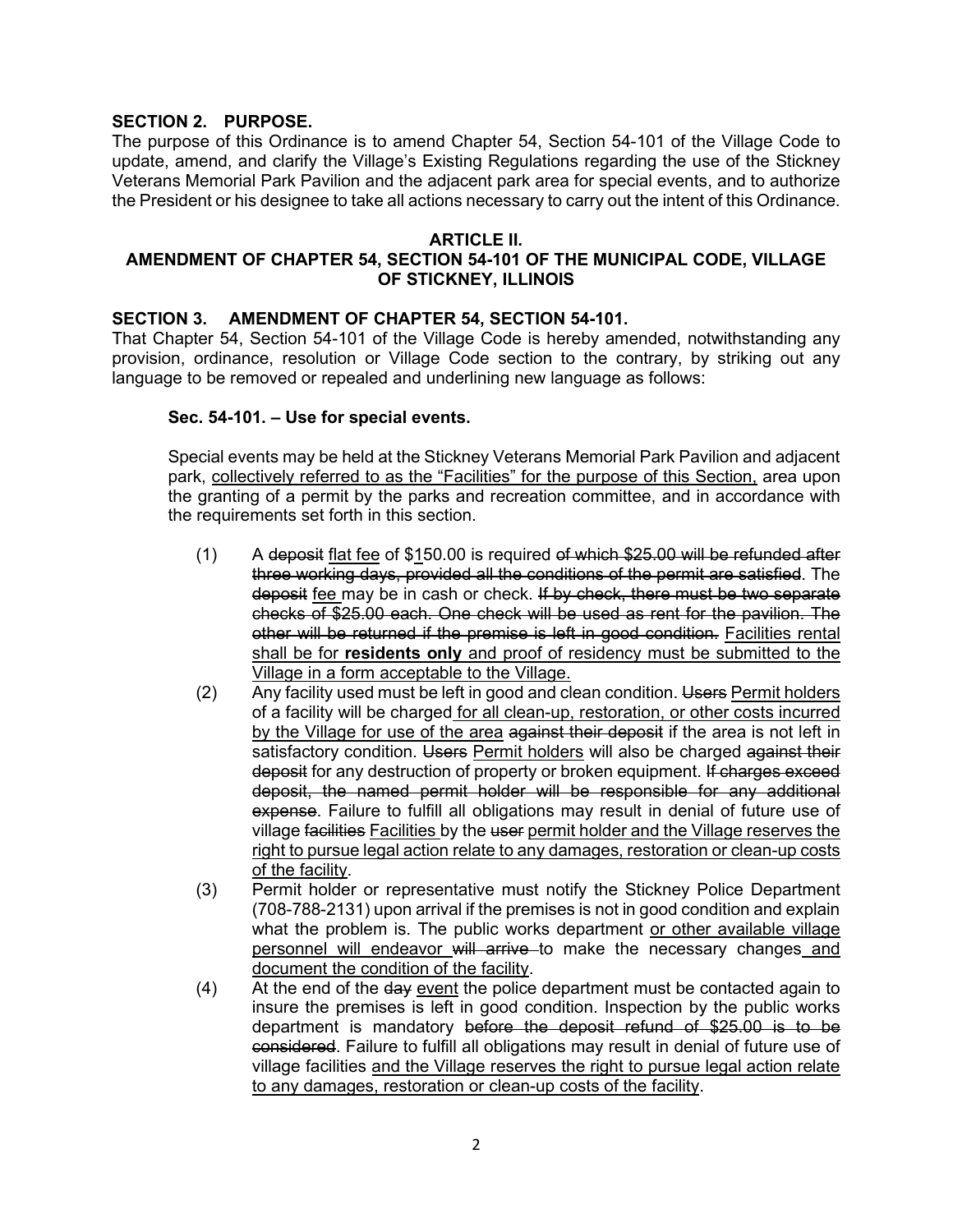## **SECTION 2. PURPOSE.**

The purpose of this Ordinance is to amend Chapter 54, Section 54-101 of the Village Code to update, amend, and clarify the Village's Existing Regulations regarding the use of the Stickney Veterans Memorial Park Pavilion and the adjacent park area for special events, and to authorize the President or his designee to take all actions necessary to carry out the intent of this Ordinance.

### **ARTICLE II.**

## **AMENDMENT OF CHAPTER 54, SECTION 54-101 OF THE MUNICIPAL CODE, VILLAGE OF STICKNEY, ILLINOIS**

### **SECTION 3. AMENDMENT OF CHAPTER 54, SECTION 54-101.**

That Chapter 54, Section 54-101 of the Village Code is hereby amended, notwithstanding any provision, ordinance, resolution or Village Code section to the contrary, by striking out any language to be removed or repealed and underlining new language as follows:

### **Sec. 54-101. – Use for special events.**

Special events may be held at the Stickney Veterans Memorial Park Pavilion and adjacent park, collectively referred to as the "Facilities" for the purpose of this Section, area upon the granting of a permit by the parks and recreation committee, and in accordance with the requirements set forth in this section.

- (1) A deposit flat fee of \$150.00 is required of which \$25.00 will be refunded after three working days, provided all the conditions of the permit are satisfied. The deposit fee may be in cash or check. If by check, there must be two separate checks of \$25.00 each. One check will be used as rent for the pavilion. The other will be returned if the premise is left in good condition. Facilities rental shall be for **residents only** and proof of residency must be submitted to the Village in a form acceptable to the Village.
- (2) Any facility used must be left in good and clean condition. Users Permit holders of a facility will be charged for all clean-up, restoration, or other costs incurred by the Village for use of the area against their deposit if the area is not left in satisfactory condition. Users Permit holders will also be charged against their deposit for any destruction of property or broken equipment. If charges exceed deposit, the named permit holder will be responsible for any additional expense. Failure to fulfill all obligations may result in denial of future use of village facilities Facilities by the user permit holder and the Village reserves the right to pursue legal action relate to any damages, restoration or clean-up costs of the facility.
- (3) Permit holder or representative must notify the Stickney Police Department (708-788-2131) upon arrival if the premises is not in good condition and explain what the problem is. The public works department or other available village personnel will endeavor will arrive to make the necessary changes and document the condition of the facility.
- $(4)$  At the end of the  $\frac{day}{dx}$  event the police department must be contacted again to insure the premises is left in good condition. Inspection by the public works department is mandatory before the deposit refund of \$25.00 is to be considered. Failure to fulfill all obligations may result in denial of future use of village facilities and the Village reserves the right to pursue legal action relate to any damages, restoration or clean-up costs of the facility.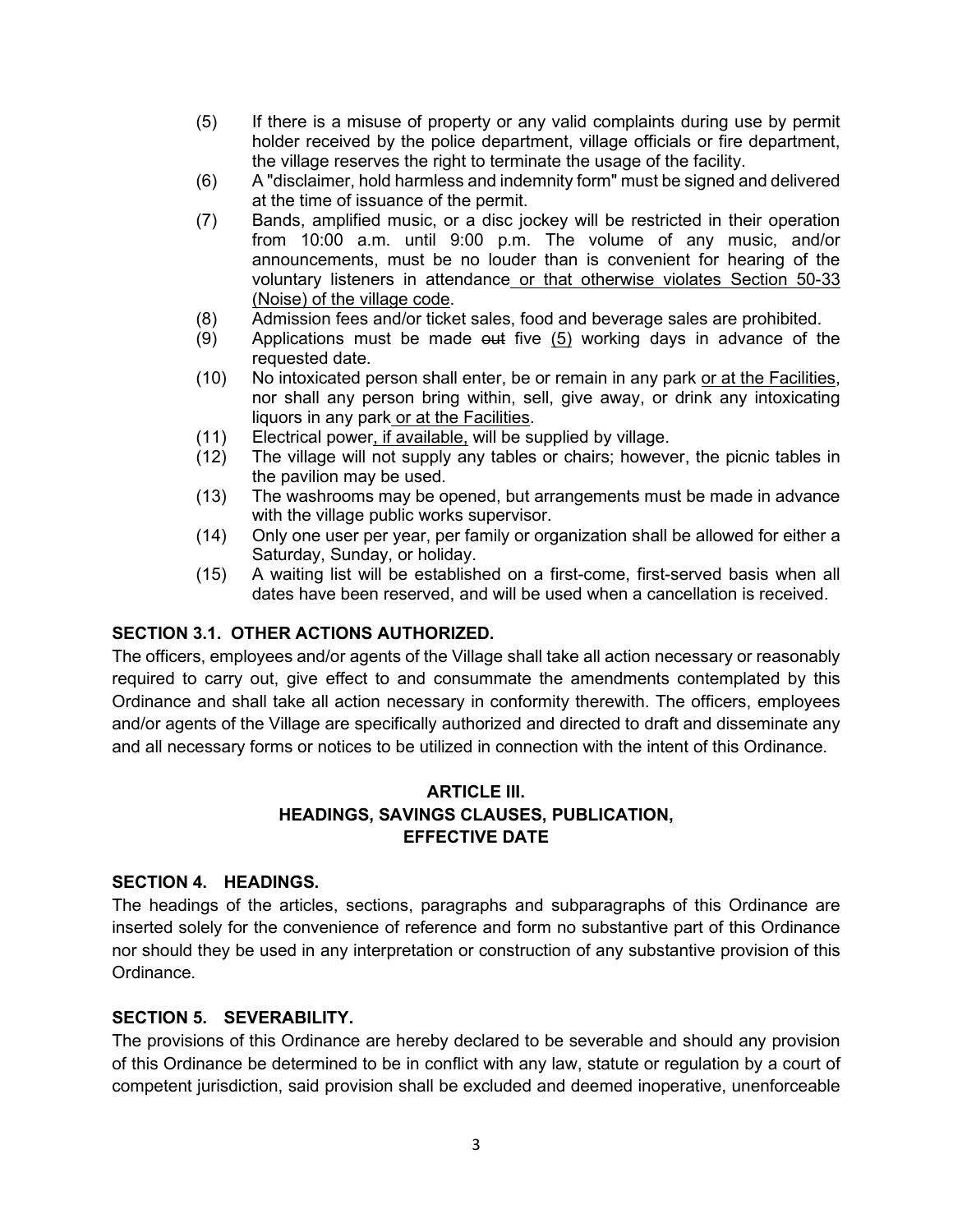- (5) If there is a misuse of property or any valid complaints during use by permit holder received by the police department, village officials or fire department, the village reserves the right to terminate the usage of the facility.
- (6) A "disclaimer, hold harmless and indemnity form" must be signed and delivered at the time of issuance of the permit.
- (7) Bands, amplified music, or a disc jockey will be restricted in their operation from 10:00 a.m. until 9:00 p.m. The volume of any music, and/or announcements, must be no louder than is convenient for hearing of the voluntary listeners in attendance or that otherwise violates Section 50-33 (Noise) of the village code.
- (8) Admission fees and/or ticket sales, food and beverage sales are prohibited.
- $(9)$  Applications must be made  $\omega$  five  $(5)$  working days in advance of the requested date.
- (10) No intoxicated person shall enter, be or remain in any park or at the Facilities, nor shall any person bring within, sell, give away, or drink any intoxicating liquors in any park or at the Facilities.
- (11) Electrical power, if available, will be supplied by village.
- (12) The village will not supply any tables or chairs; however, the picnic tables in the pavilion may be used.
- (13) The washrooms may be opened, but arrangements must be made in advance with the village public works supervisor.
- (14) Only one user per year, per family or organization shall be allowed for either a Saturday, Sunday, or holiday.
- (15) A waiting list will be established on a first-come, first-served basis when all dates have been reserved, and will be used when a cancellation is received.

## **SECTION 3.1. OTHER ACTIONS AUTHORIZED.**

The officers, employees and/or agents of the Village shall take all action necessary or reasonably required to carry out, give effect to and consummate the amendments contemplated by this Ordinance and shall take all action necessary in conformity therewith. The officers, employees and/or agents of the Village are specifically authorized and directed to draft and disseminate any and all necessary forms or notices to be utilized in connection with the intent of this Ordinance.

# **ARTICLE III. HEADINGS, SAVINGS CLAUSES, PUBLICATION, EFFECTIVE DATE**

## **SECTION 4. HEADINGS.**

The headings of the articles, sections, paragraphs and subparagraphs of this Ordinance are inserted solely for the convenience of reference and form no substantive part of this Ordinance nor should they be used in any interpretation or construction of any substantive provision of this Ordinance.

# **SECTION 5. SEVERABILITY.**

The provisions of this Ordinance are hereby declared to be severable and should any provision of this Ordinance be determined to be in conflict with any law, statute or regulation by a court of competent jurisdiction, said provision shall be excluded and deemed inoperative, unenforceable